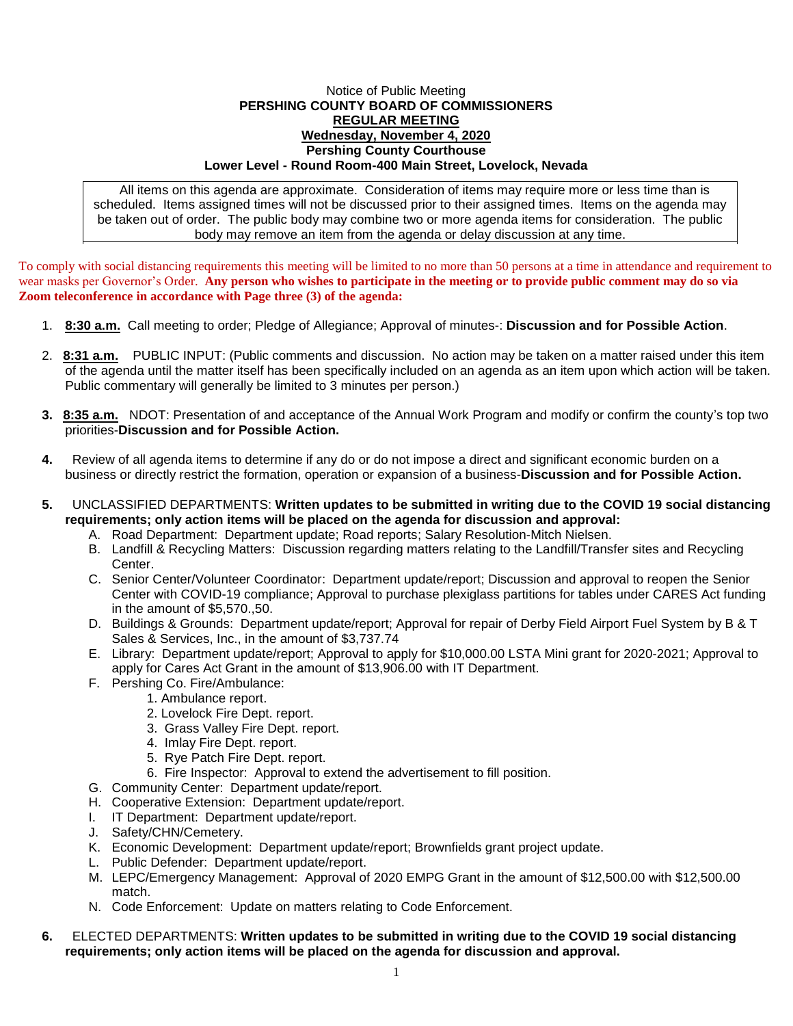## Notice of Public Meeting **PERSHING COUNTY BOARD OF COMMISSIONERS REGULAR MEETING Wednesday, November 4, 2020 Pershing County Courthouse Lower Level - Round Room-400 Main Street, Lovelock, Nevada**

All items on this agenda are approximate. Consideration of items may require more or less time than is scheduled. Items assigned times will not be discussed prior to their assigned times. Items on the agenda may be taken out of order. The public body may combine two or more agenda items for consideration. The public body may remove an item from the agenda or delay discussion at any time.

To comply with social distancing requirements this meeting will be limited to no more than 50 persons at a time in attendance and requirement to wear masks per Governor's Order. **Any person who wishes to participate in the meeting or to provide public comment may do so via Zoom teleconference in accordance with Page three (3) of the agenda:** 

- 1. **8:30 a.m.** Call meeting to order; Pledge of Allegiance; Approval of minutes-: **Discussion and for Possible Action**.
- 2. **8:31 a.m.** PUBLIC INPUT: (Public comments and discussion. No action may be taken on a matter raised under this item of the agenda until the matter itself has been specifically included on an agenda as an item upon which action will be taken. Public commentary will generally be limited to 3 minutes per person.)
- **3. 8:35 a.m.** NDOT: Presentation of and acceptance of the Annual Work Program and modify or confirm the county's top two priorities-**Discussion and for Possible Action.**
- **4.** Review of all agenda items to determine if any do or do not impose a direct and significant economic burden on a business or directly restrict the formation, operation or expansion of a business-**Discussion and for Possible Action.**
- **5.** UNCLASSIFIED DEPARTMENTS: **Written updates to be submitted in writing due to the COVID 19 social distancing requirements; only action items will be placed on the agenda for discussion and approval:**
	- A. Road Department: Department update; Road reports; Salary Resolution-Mitch Nielsen.
	- B. Landfill & Recycling Matters: Discussion regarding matters relating to the Landfill/Transfer sites and Recycling Center.
	- C. Senior Center/Volunteer Coordinator: Department update/report; Discussion and approval to reopen the Senior Center with COVID-19 compliance; Approval to purchase plexiglass partitions for tables under CARES Act funding in the amount of \$5,570.,50.
	- D. Buildings & Grounds: Department update/report; Approval for repair of Derby Field Airport Fuel System by B & T Sales & Services, Inc., in the amount of \$3,737.74
	- E. Library: Department update/report; Approval to apply for \$10,000.00 LSTA Mini grant for 2020-2021; Approval to apply for Cares Act Grant in the amount of \$13,906.00 with IT Department.
	- F. Pershing Co. Fire/Ambulance:
		- 1. Ambulance report.
			- 2. Lovelock Fire Dept. report.
			- 3. Grass Valley Fire Dept. report.
			- 4. Imlay Fire Dept. report.
			- 5. Rye Patch Fire Dept. report.
		- 6. Fire Inspector: Approval to extend the advertisement to fill position.
	- G. Community Center: Department update/report.
	- H. Cooperative Extension: Department update/report.
	- I. IT Department: Department update/report.
	- J. Safety/CHN/Cemetery.
	- K. Economic Development: Department update/report; Brownfields grant project update.
	- L. Public Defender: Department update/report.
	- M. LEPC/Emergency Management: Approval of 2020 EMPG Grant in the amount of \$12,500.00 with \$12,500.00 match.
	- N. Code Enforcement: Update on matters relating to Code Enforcement.
- **6.** ELECTED DEPARTMENTS: **Written updates to be submitted in writing due to the COVID 19 social distancing requirements; only action items will be placed on the agenda for discussion and approval.**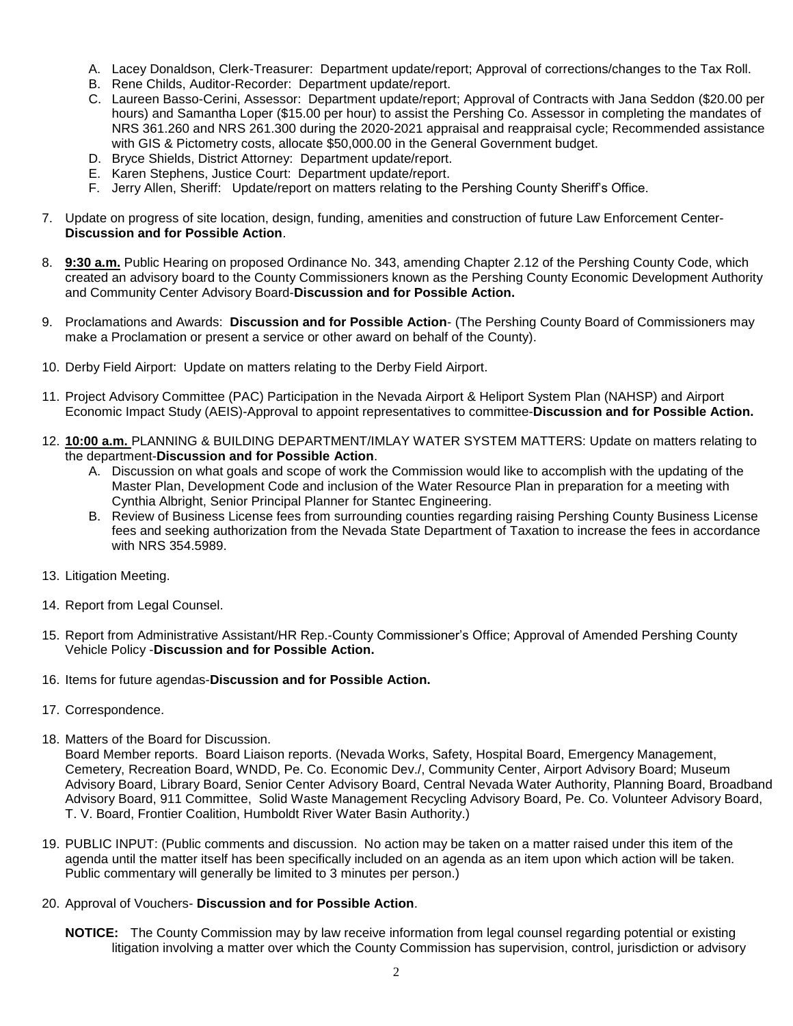- A. Lacey Donaldson, Clerk-Treasurer: Department update/report; Approval of corrections/changes to the Tax Roll.
- B. Rene Childs, Auditor-Recorder: Department update/report.
- C. Laureen Basso-Cerini, Assessor: Department update/report; Approval of Contracts with Jana Seddon (\$20.00 per hours) and Samantha Loper (\$15.00 per hour) to assist the Pershing Co. Assessor in completing the mandates of NRS 361.260 and NRS 261.300 during the 2020-2021 appraisal and reappraisal cycle; Recommended assistance with GIS & Pictometry costs, allocate \$50,000.00 in the General Government budget.
- D. Bryce Shields, District Attorney: Department update/report.
- E. Karen Stephens, Justice Court: Department update/report.
- F. Jerry Allen, Sheriff: Update/report on matters relating to the Pershing County Sheriff's Office.
- 7. Update on progress of site location, design, funding, amenities and construction of future Law Enforcement Center-**Discussion and for Possible Action**.
- 8. **9:30 a.m.** Public Hearing on proposed Ordinance No. 343, amending Chapter 2.12 of the Pershing County Code, which created an advisory board to the County Commissioners known as the Pershing County Economic Development Authority and Community Center Advisory Board-**Discussion and for Possible Action.**
- 9. Proclamations and Awards: **Discussion and for Possible Action** (The Pershing County Board of Commissioners may make a Proclamation or present a service or other award on behalf of the County).
- 10. Derby Field Airport: Update on matters relating to the Derby Field Airport.
- 11. Project Advisory Committee (PAC) Participation in the Nevada Airport & Heliport System Plan (NAHSP) and Airport Economic Impact Study (AEIS)-Approval to appoint representatives to committee-**Discussion and for Possible Action.**
- 12. **10:00 a.m.** PLANNING & BUILDING DEPARTMENT/IMLAY WATER SYSTEM MATTERS: Update on matters relating to the department-**Discussion and for Possible Action**.
	- A. Discussion on what goals and scope of work the Commission would like to accomplish with the updating of the Master Plan, Development Code and inclusion of the Water Resource Plan in preparation for a meeting with Cynthia Albright, Senior Principal Planner for Stantec Engineering.
	- B. Review of Business License fees from surrounding counties regarding raising Pershing County Business License fees and seeking authorization from the Nevada State Department of Taxation to increase the fees in accordance with NRS 354.5989.
- 13. Litigation Meeting.
- 14. Report from Legal Counsel.
- 15. Report from Administrative Assistant/HR Rep.-County Commissioner's Office; Approval of Amended Pershing County Vehicle Policy -**Discussion and for Possible Action.**
- 16. Items for future agendas-**Discussion and for Possible Action.**
- 17. Correspondence.
- 18. Matters of the Board for Discussion.

Board Member reports. Board Liaison reports. (Nevada Works, Safety, Hospital Board, Emergency Management, Cemetery, Recreation Board, WNDD, Pe. Co. Economic Dev./, Community Center, Airport Advisory Board; Museum Advisory Board, Library Board, Senior Center Advisory Board, Central Nevada Water Authority, Planning Board, Broadband Advisory Board, 911 Committee, Solid Waste Management Recycling Advisory Board, Pe. Co. Volunteer Advisory Board, T. V. Board, Frontier Coalition, Humboldt River Water Basin Authority.)

- 19. PUBLIC INPUT: (Public comments and discussion. No action may be taken on a matter raised under this item of the agenda until the matter itself has been specifically included on an agenda as an item upon which action will be taken. Public commentary will generally be limited to 3 minutes per person.)
- 20. Approval of Vouchers- **Discussion and for Possible Action**.
	- **NOTICE:** The County Commission may by law receive information from legal counsel regarding potential or existing litigation involving a matter over which the County Commission has supervision, control, jurisdiction or advisory